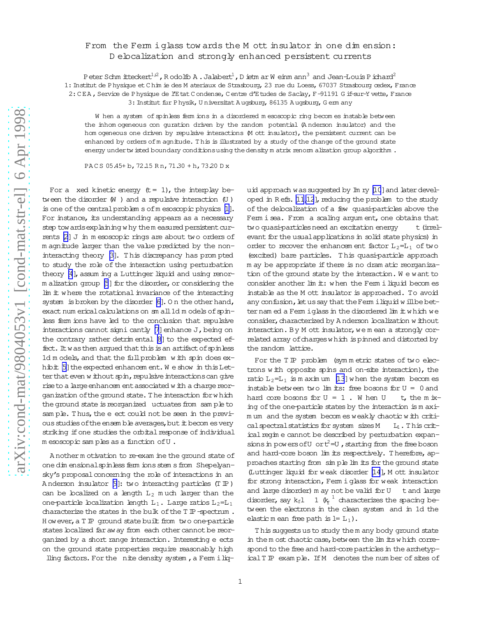## From the Fermiglass tow ards the M ott insulator in one dimension: Delocalization and strongly enhanced persistent currents

Peter Schm itteckert<sup>1;2</sup>, Rodolfo A. Jalabert<sup>1</sup>, D ietm ar W einm ann<sup>3</sup> and Jean-Louis P ichard<sup>2</sup> 1: Institut de Physique et Chim ie des M ateriaux de Strasbourg, 23 rue du Loess, 67037 Strasbourg œdex, France 2: CEA, Service de Physique de l'Etat Condense, Centre d'Etudes de Saclay, F-91191 G if-sur-Y vette, France 3: Institut fur Physik, Universitat Augsburg, 86135 Augsburg, Germany

W hen a system of spinless ferm ions in a disordered mesoscopic ring becomes instable between the inhomogeneous con guration driven by the random potential (Anderson insulator) and the hom ogeneous one driven by repulsive interactions M ott insulator), the persistent current can be enhanced by orders of m agnitude. This is illustrated by a study of the change of the ground state energy under twisted boundary conditions using the density matrix renom alization group algorithm.

PACS 05.45+b, 72.15 Rn, 71.30 +h, 73.20 D x

For a xed kinetic energy  $(t = 1)$ , the interplay between the disorder  $(W)$  and a repulsive interaction  $(U)$ is one of the central problem s of m esoscopic physics [1]. For instance, its understanding appears as a necessary step tow ards explaining why them easured persistent currents [2] J in m esoscopic rings are about two orders of m agnitude larger than the value predicted by the noninteracting theory [3]. This discrepancy has prompted to study the role of the interaction using perturbation theory [4], assum ing a Luttinger liquid and using renorm alization group [5] for the disorder, or considering the lim it where the rotational invariance of the interacting system is broken by the disorder [6]. On the other hand, exact num erical calculations on am all 1d m odels of spinless fem ions have led to the conclusion that repulsive interactions cannot signi cantly [7] enhance J, being on the contrary rather detrim ental [8] to the expected effect. It was then argued that this is an artifact of spinless 1d m odels, and that the full problem with spin does exhibit [5] the expected enhancem ent. We show in this Letter that even w ithout spin, repulsive interactions can give rise to a large enhancem ent associated with a charge reorganization of the ground state. The interaction for which the ground state is reorganized uctuates from sample to sample. Thus, the e ect could not be seen in the previous studies of the ensemble averages, but it becom es very striking if one studies the orbital response of individual m esoscopic samples as a function of U.

A nother m otivation to re-exam ine the ground state of one dim ensional spinless ferm ions stem s from Shepelyansky's proposal concerning the role of interactions in an Anderson insulator  $[9]$ : two interacting particles (T IP) can be localized on a length  $L_2$  much larger than the one-particle localization length  $L_1$ . Large ratios  $L_2=L_1$ characterize the states in the bulk of the  $T \mathbb{P}$ -spectrum. However, a T IP ground state built from two one-particle states localized far aw ay from each other cannot be reorganized by a short range interaction. Interesting e ects on the ground state properties require reasonably high lling factors. For the nite density system, a Ferm i liq-

uid approach was suggested by Im ry [10] and later developed in Refs. [11,12], reducing the problem to the study of the debcalization of a few quasi-particles above the Ferm i sea. From a scaling argum ent, one obtains that two quasi-particles need an excitation energy t (irrelevant for the usual applications in solid state physics) in order to recover the enhancem ent factor  $L_2=L_1$  of two (excited) bare particles. This quasi-particle approach m ay be appropriate if there is no dram atic reorganization of the ground state by the interaction. We want to consider another lim it: when the Ferm i liquid becomes instable as the M ott insulator is approached. To avoid any confusion, let us say that the Ferm i liquid will be betternamed a Fermiglass in the disordered lim it which we consider, characterized by Anderson localization without interaction. By M ott insulator, we mean a strongly correlated array of charges which is pinned and distorted by the random lattice.

For the TIP problem (symmetric states of two electrons with opposite spins and on-site interaction), the ratio  $L_2=L_1$  is m aximum [13] when the system becomes instable between two  $\lim$  its: free bosons for  $U = 0$  and hard core bosons for  $U = 1$ . When U t, the m ixing of the one-particle states by the interaction is m axim um and the system becomes weakly chaotic with critical spectral statistics for system sizes M  $L_1$ . This critical regin e cannot be described by perturbation expansions in powers of U or  $t^2=U$ , starting from the free boson and hard-core boson lim its respectively. Therefore, approaches starting from simple lim its for the ground state (Luttinger liquid for weak disorder [14], M ott insulator for strong interaction, Ferm i glass for weak interaction and large disorder) m ay not be valid for U t and large disorder, say  $k_f 1 \t 1 \t k_f^{-1}$  characterizes the spacing between the electrons in the clean system and in 1d the elastic m ean free path is  $l = L_1$ ).

This suggests us to study the m any body ground state in the m ost chaotic case, between the lim its which correspond to the free and hard-core particles in the archetypical T IP exam ple. If M denotes the number of sites of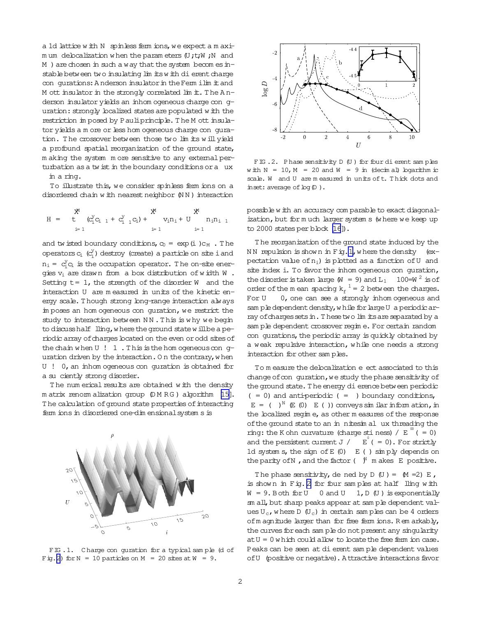<span id="page-1-0"></span>a 1d lattice w ith N spinless ferm ions, we expect a m axim um delocalization w hen the param eters (U;t;W;N and  $M$  ) are chosen in such a way that the system becom es instable between two insulating lim its with dierent charge con qurations: A nderson insulator in the Ferm ilim it and M ott insulator in the strongly correlated lim  $\pm$ . The Anderson insulator yields an inhom ogeneous charge con quration: strongly localized states are populated w ith the restriction im posed by Pauliprinciple. The M ott insulator yields a m ore or less hom ogeneous charge con quration. The crossover between those two lim its will yield a profound spatial reorganization of the ground state, m aking the system m ore sensitive to any external perturbation as a tw ist in the boundary conditions or a ux

in a ring.

To illustrate this, we consider spinless ferm ions on a disordered chain w ith nearest neighbor (NN) interaction

$$
H \,\,=\,\, \begin{array}{ccc} & X^1 & & X^1 \\ t & t & (C_1^Y C_{i-1} \,+\, C_{i-1}^Y C_{i}) \,+\, & v_1 n_1 + \, U & n_1 n_{i-1} \\ & {}_{i=1} & {}_{i=1} & {}_{i=1} \end{array}
$$

and tw isted boundary conditions,  $c_0 = \exp(i) c_M$ . The operators  $c_i$  ( $c_i^y$ ) destroy (create) a particle on site i and  $n_i = c_i^y c_i$  is the occupation operator. The on-site energies  $v_i$  are drawn from a box distribution of width W. Setting  $t=1$ , the strength of the disorder W and the interaction U are m easured in units of the kinetic energy scale. T hough strong long-range interaction always im poses an hom ogeneous con quration, we restrict the study to interaction between NN. This is why we begin to discuss half lling, w here the ground state will be a periodic array of charges located on the even or odd sites of the chain when  $U$  ! 1. This is the hom ogeneous con guration driven by the interaction. On the contrary, when U ! 0, an inhom ogeneous con guration is obtained for a su ciently strong disorder.

The num erical results are obtained with the density m atrix renorm alization group  $(D M R G)$  algorithm [\[15\]](#page-3-0). The calculation of ground state properties of interacting ferm ions in disordered one-dim ensionalsystem s is



FIG. 1. Charge con guration for a typical sample (d of Fig. 2) for  $N = 10$  particles on  $M = 20$  sites at  $W = 9$ .



FIG.2. Phase sensitivity D (U) for four dierent samples w ith  $N = 10$ ,  $M = 20$  and  $W = 9$  in (decim al) logarithm ic scale. W and U are m easured in units oft. T hick dots and inset: average of  $log(D)$ .

possible w ith an accuracy com parable to exact diagonalization, but for m uch larger system s (w here we keep up to 2000 states per block [\[16](#page-3-0)]).

T he reorganization ofthe ground state induced by the NN repulsion is shown in Fig. 1, where the density (expectation value of  $n_i$ ) is plotted as a function of U and site index i. To favor the inhom ogeneous con guration, the disorder is taken large  $(W = 9)$  and  $L_1$  100=W <sup>2</sup> is of order of the m ean spacing  $k_f^{-1} = 2$  between the charges. For U 0, one can see a strongly inhom ogeneous and sam ple dependent density, w hile for large U a periodic array of charges sets in. These two lim its are separated by a sam ple dependent crossover regim e. For certain random con qurations, the periodic array is quickly obtained by a weak repulsive interaction, w hile one needs a strong interaction for other sam ples.

To m easure the delocalization e ect associated to this change of con guration, we study the phase sensitivity of the ground state. The energy dierence between periodic  $( = 0)$  and anti-periodic  $( = )$  boundary conditions,  $E = ( )^N \mathbb{E} (0) E ( )$  conveys similar in form ation, in the localized regim e, as other m easures of the response of the ground state to an in nitesim al ux threading the ring: the K ohn curvature (charge stiness) /  $E^{\circ}$  ( = 0) and the persistent current  $J / E$  (= 0). For strictly 1d system s, the sign of  $E(0)$   $E($  ) sim ply depends on the parity ofN ,and the factor( ) <sup>N</sup> m akesE positive.

The phase sensitivity, de ned by  $D$  (U) =  $(M = 2) E$ , is show n in Fig. 2 for four sam ples at half lling w ith  $W = 9$ . Both for U 0 and U 1, D (U) is exponentially sm all, but sharp peaks appear at sam ple dependent values  $U_c$ , w here D  $(U_c)$  in certain sam ples can be 4 orders ofm agnitude larger than for free ferm ions. R em arkably, the curves for each sam ple do not present any singularity  $atU = 0$  which could allow to locate the free ferm ion case. Peaks can be seen at dierent sam ple dependent values ofU (positive or negative). A ttractive interactions favor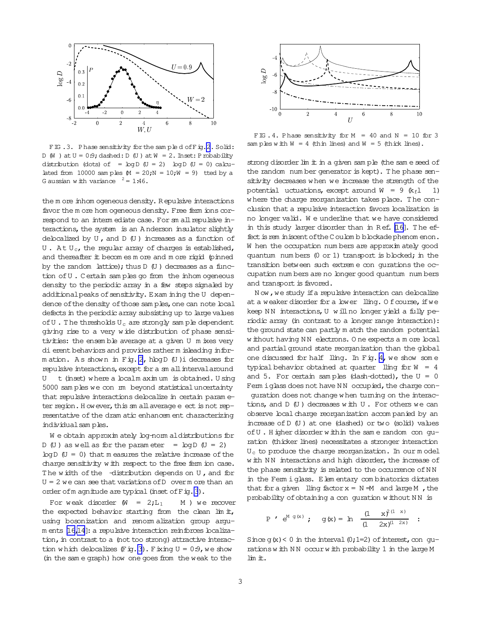

FIG.3. Phase sensitivity for the sampled of Fig.2. Solid: D (W) at  $U = 0.9$ ; dashed: D (U) at  $W = 2$ . Inset: P robability distribution (dots) of =  $log D$  (U = 2)  $log D$  (U = 0) calculated from 10000 samples  $M = 20$ ;  $N = 10$ ;  $W = 9$ ) tted by a G aussian w ith variance  $^2 = 1.46$ .

the more inhomogeneous density. Repulsive interactions favor the m ore hom ogeneous density. Free ferm ions correspond to an interm ediate case. For sm all repulsive interactions, the system is an Anderson insulator slightly delocalized by  $U$ , and  $D$   $(U)$  increases as a function of  $U$ . At  $U_c$ , the regular array of charges is established, and thereafter it becomes more and more rigid (pinned by the random lattice); thus D (U) decreases as a function of U. Certain samples go from the inhomogeneous density to the periodic array in a few steps signaled by additional peaks of sensitivity. Exam ining the U dependence of the density of those samples, one can note local defects in the periodic array subsisting up to large values of  $U$ . The thresholds  $U_C$  are strongly sample dependent giving rise to a very wide distribution of phase sensitivities: the ensemble average at a given U m ixes very di erent behaviors and provides rather m isleading information. As shown in Fig. 2, hlogD (U)i decreases for repulsive interactions, except for a sm all interval around t (inset) where a localm aximum is obtained. U sing U 5000 samples we con m beyond statistical uncertainty that repulsive interactions delocalize in certain parameter region. How ever, this sm all average e ect is not representative of the dram atic enhancem ent characterizing individual samples.

We obtain approximately log-normal distributions for  $D(U)$  as well as for the parameter =  $log D(U = 2)$  $\log D$  (U = 0) that m easures the relative increase of the charge sensitivity with respect to the free ferm ion case. The width of the distribution depends on U, and for  $U = 2$  we can see that variations of D over m ore than an order of m agnitude are typical (inset of F ig. 3).

For weak disorder  $(W = 2;L_1)$ M ) we recover the expected behavior starting from the clean  $\lim_{t \to 0} \frac{d}{dt}$ , using bosonization and renomalization group argum ents [16,14]: a repulsive interaction reinforces localization, in contrast to a (not too strong) attractive interaction which delocalizes  $(F \circ g. 3)$ . Fixing  $U = 0.9$ , we show (in the sam e graph) how one goes from the weak to the



FIG. 4. Phase sensitivity for  $M = 40$  and  $N = 10$  for 3 samples with  $W = 4$  (thin lines) and  $W = 5$  (thick lines).

strong disorder lim it in a given sample (the same seed of the random number generator is kept). The phase sensitivity decreases when we increase the strength of the potential uctuations, except around  $W = 9$  ( $k_f$ l 1) where the charge reorganization takes place. The conclusion that a repulsive interaction favors localization is no longer valid. We underline that we have considered in this study larger disorder than in Ref. [16]. The effect is rem iniscent of the C oulom b blockade phenom enon. W hen the occupation numbers are approximately good quantum numbers (0 or 1) transport is blocked; in the transition between such extreme con gurations the occupation num bers are no longer good quantum num bers and transport is favored.

Now, we study if a repulsive interaction can delocalize at a weaker disorder for a lower lling. Of course, if we keep NN interactions, U will no longer yield a fully periodic array (in contrast to a longer range interaction): the ground state can partly m atch the random potential w ithout having NN electrons. One expects a m ore local and partial ground state reorganization than the global one discussed for half lling. In Fig. 4, we show some typical behavior obtained at quarter lling for  $W = 4$ and 5. For certain samples (dash-dotted), the  $U = 0$ Fem iglass does not have NN occupied, the charge con-

quration does not change when turning on the interactions, and  $D$   $(U)$  decreases with  $U$ . For others we can observe local charge reorganization accompanied by an increase of D (U) at one (dashed) or two (solid) values of U. Higher disorder within the same random con guration (thicker lines) necessitates a stronger interaction U<sub>c</sub> to produce the charge reorganization. In our model with NN interactions and high disorder, the increase of the phase sensitivity is related to the occurrence of NN in the Ferm i glass. Elem entary combinatorics dictates that for a given ling factor  $x = N = M$  and large M, the probability of obtaining a con guration without NN is

$$
P' e^{M g(x)}
$$
;  $g(x) = \ln \frac{(1 + x)^{2(1 - x)}}{(1 - 2x)^{(1 - 2x)}}$ :

Since  $g(x) < 0$  in the interval  $(0, 1=2)$  of interest, con gurations with NN occur with probability 1 in the large M lim it.